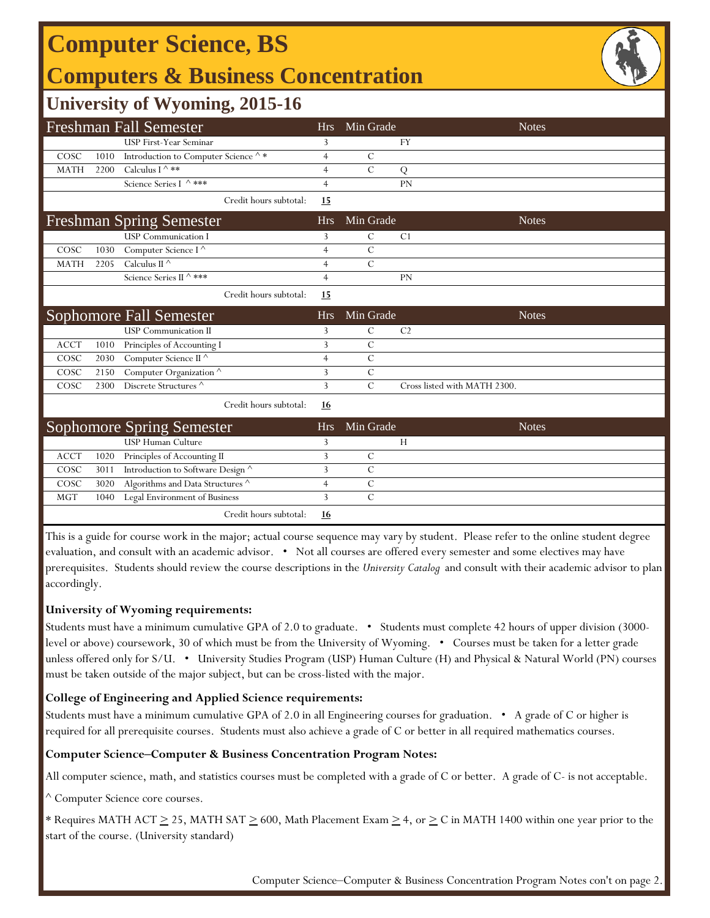# **Computer Science, BS**

### **Computers & Business Concentration**



### **University of Wyoming, 2015-16**

|             |      | <b>Freshman Fall Semester</b>                            | <b>Hrs</b>     | Min Grade      |                              | <b>Notes</b> |
|-------------|------|----------------------------------------------------------|----------------|----------------|------------------------------|--------------|
|             |      | <b>USP First-Year Seminar</b>                            | 3              |                | <b>FY</b>                    |              |
| COSC        | 1010 | Introduction to Computer Science $\mathord{\wedge} \, *$ | $\overline{4}$ | $\mathcal{C}$  |                              |              |
| <b>MATH</b> | 2200 | Calculus I $\wedge$ **                                   | $\overline{4}$ | $\mathcal{C}$  | Q                            |              |
|             |      | Science Series I ^ ***                                   | $\overline{4}$ |                | <b>PN</b>                    |              |
|             |      | Credit hours subtotal:                                   | 15             |                |                              |              |
|             |      | <b>Freshman Spring Semester</b>                          | <b>Hrs</b>     | Min Grade      |                              | <b>Notes</b> |
|             |      | <b>USP</b> Communication I                               | 3              | $\mathcal{C}$  | C <sub>1</sub>               |              |
| COSC        | 1030 | Computer Science I <sup>^</sup>                          | $\overline{4}$ | $\mathcal{C}$  |                              |              |
| <b>MATH</b> | 2205 | Calculus II $\wedge$                                     | 4              | $\overline{C}$ |                              |              |
|             |      | Science Series II ^ ***                                  | $\overline{4}$ |                | PN                           |              |
|             |      | Credit hours subtotal:                                   | 15             |                |                              |              |
|             |      | <b>Sophomore Fall Semester</b>                           | <b>Hrs</b>     | Min Grade      |                              | <b>Notes</b> |
|             |      | <b>USP Communication II</b>                              | 3              | $\mathcal{C}$  | C <sub>2</sub>               |              |
| <b>ACCT</b> | 1010 | Principles of Accounting I                               | 3              | $\mathcal{C}$  |                              |              |
| COSC        | 2030 | Computer Science II $^\wedge$                            | $\overline{4}$ | $\mathcal{C}$  |                              |              |
| COSC        | 2150 | Computer Organization $^\wedge$                          | 3              | $\mathcal{C}$  |                              |              |
| COSC        | 2300 | Discrete Structures <sup>^</sup>                         | 3              | $\mathcal{C}$  | Cross listed with MATH 2300. |              |
|             |      | Credit hours subtotal:                                   | <u>16</u>      |                |                              |              |
|             |      | <b>Sophomore Spring Semester</b>                         | <b>Hrs</b>     | Min Grade      |                              | <b>Notes</b> |
|             |      | <b>USP Human Culture</b>                                 | 3              |                | H                            |              |
| <b>ACCT</b> | 1020 | Principles of Accounting II                              | $\overline{3}$ | $\mathcal{C}$  |                              |              |
| COSC        | 3011 | Introduction to Software Design ^                        | 3              | $\overline{C}$ |                              |              |
| COSC        | 3020 | Algorithms and Data Structures $^\wedge$                 | 4              | $\mathcal{C}$  |                              |              |
| <b>MGT</b>  | 1040 | Legal Environment of Business                            | 3              | $\mathcal{C}$  |                              |              |
|             |      | Credit hours subtotal:                                   | 16             |                |                              |              |

This is a guide for course work in the major; actual course sequence may vary by student. Please refer to the online student degree evaluation, and consult with an academic advisor. • Not all courses are offered every semester and some electives may have prerequisites. Students should review the course descriptions in the *University Catalog* and consult with their academic advisor to plan accordingly.

#### **University of Wyoming requirements:**

Students must have a minimum cumulative GPA of 2.0 to graduate. • Students must complete 42 hours of upper division (3000 level or above) coursework, 30 of which must be from the University of Wyoming. • Courses must be taken for a letter grade unless offered only for S/U. • University Studies Program (USP) Human Culture (H) and Physical & Natural World (PN) courses must be taken outside of the major subject, but can be cross-listed with the major.

#### **College of Engineering and Applied Science requirements:**

Students must have a minimum cumulative GPA of 2.0 in all Engineering courses for graduation. • A grade of C or higher is required for all prerequisite courses. Students must also achieve a grade of C or better in all required mathematics courses.

#### **Computer Science‒Computer & Business Concentration Program Notes:**

All computer science, math, and statistics courses must be completed with a grade of C or better. A grade of C- is not acceptable.

^ Computer Science core courses.

\* Requires MATH ACT  $\geq$  25, MATH SAT  $\geq$  600, Math Placement Exam  $\geq$  4, or  $\geq$  C in MATH 1400 within one year prior to the start of the course. (University standard)

Computer Science-Computer & Business Concentration Program Notes con't on page 2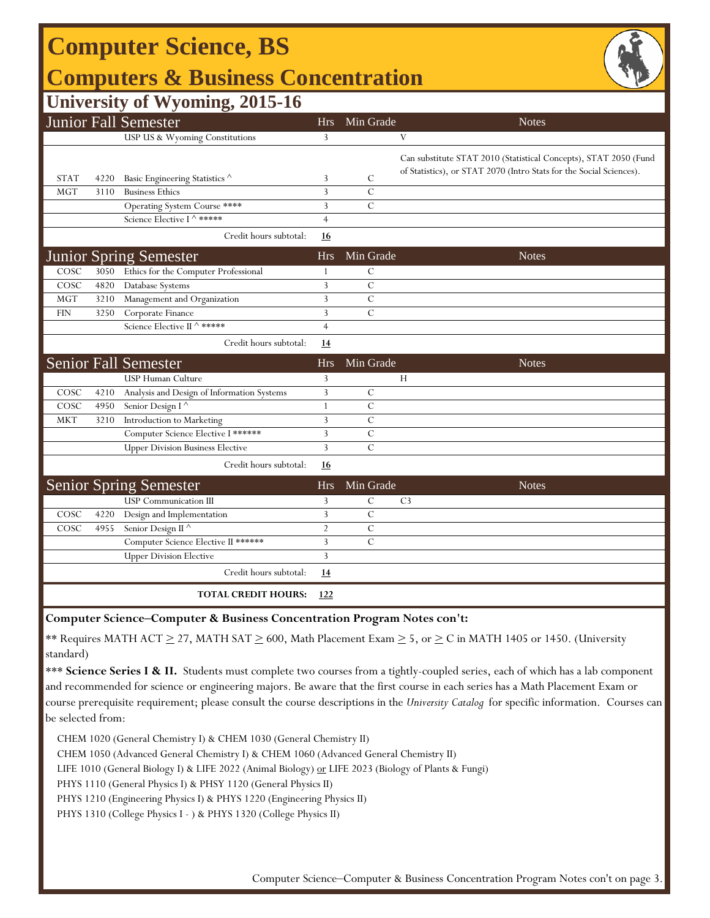| <b>Computer Science, BS</b>                   |      |                                            |                |               |                |                                                                                                                                         |  |  |  |  |  |
|-----------------------------------------------|------|--------------------------------------------|----------------|---------------|----------------|-----------------------------------------------------------------------------------------------------------------------------------------|--|--|--|--|--|
| <b>Computers &amp; Business Concentration</b> |      |                                            |                |               |                |                                                                                                                                         |  |  |  |  |  |
|                                               |      | <b>University of Wyoming, 2015-16</b>      |                |               |                |                                                                                                                                         |  |  |  |  |  |
|                                               |      | <b>Junior Fall Semester</b>                | <b>Hrs</b>     | Min Grade     |                | <b>Notes</b>                                                                                                                            |  |  |  |  |  |
|                                               |      | USP US & Wyoming Constitutions             | 3              |               | V              |                                                                                                                                         |  |  |  |  |  |
| <b>STAT</b>                                   | 4220 | Basic Engineering Statistics ^             | 3              | C             |                | Can substitute STAT 2010 (Statistical Concepts), STAT 2050 (Fund<br>of Statistics), or STAT 2070 (Intro Stats for the Social Sciences). |  |  |  |  |  |
| <b>MGT</b>                                    | 3110 | <b>Business Ethics</b>                     | 3              | $\mathcal{C}$ |                |                                                                                                                                         |  |  |  |  |  |
|                                               |      | Operating System Course ****               | 3              | $\mathcal{C}$ |                |                                                                                                                                         |  |  |  |  |  |
|                                               |      | Science Elective I ^ *****                 | $\overline{4}$ |               |                |                                                                                                                                         |  |  |  |  |  |
|                                               |      | Credit hours subtotal:                     | <u>16</u>      |               |                |                                                                                                                                         |  |  |  |  |  |
|                                               |      | <b>Junior Spring Semester</b>              | Hrs            | Min Grade     |                | <b>Notes</b>                                                                                                                            |  |  |  |  |  |
| $\cos c$                                      | 3050 | Ethics for the Computer Professional       | $\mathbf{1}$   | $\mathcal{C}$ |                |                                                                                                                                         |  |  |  |  |  |
| COSC                                          | 4820 | Database Systems                           | 3              | $\mathbf C$   |                |                                                                                                                                         |  |  |  |  |  |
| <b>MGT</b>                                    | 3210 | Management and Organization                | 3              | $\mathcal{C}$ |                |                                                                                                                                         |  |  |  |  |  |
| <b>FIN</b>                                    | 3250 | Corporate Finance                          | 3              | $\mathcal{C}$ |                |                                                                                                                                         |  |  |  |  |  |
|                                               |      | Science Elective II ^ *****                | $\overline{4}$ |               |                |                                                                                                                                         |  |  |  |  |  |
|                                               |      | Credit hours subtotal:                     | 14             |               |                |                                                                                                                                         |  |  |  |  |  |
|                                               |      | <b>Senior Fall Semester</b>                | Hrs            | Min Grade     |                | <b>Notes</b>                                                                                                                            |  |  |  |  |  |
|                                               |      | USP Human Culture                          | 3              |               | Н              |                                                                                                                                         |  |  |  |  |  |
| COSC                                          | 4210 | Analysis and Design of Information Systems | 3              | $\mathcal{C}$ |                |                                                                                                                                         |  |  |  |  |  |
| COSC                                          | 4950 | Senior Design I <sup>^</sup>               | $\mathbf{1}$   | $\mathcal{C}$ |                |                                                                                                                                         |  |  |  |  |  |
| <b>MKT</b>                                    | 3210 | Introduction to Marketing                  | 3              | $\mathbf C$   |                |                                                                                                                                         |  |  |  |  |  |
|                                               |      | Computer Science Elective I ******         | 3              | $\mathcal{C}$ |                |                                                                                                                                         |  |  |  |  |  |
|                                               |      | <b>Upper Division Business Elective</b>    | 3              | $\mathcal{C}$ |                |                                                                                                                                         |  |  |  |  |  |
|                                               |      | Credit hours subtotal:                     | 16             |               |                |                                                                                                                                         |  |  |  |  |  |
|                                               |      | <b>Senior Spring Semester</b>              | Hrs            | Min Grade     |                | <b>Notes</b>                                                                                                                            |  |  |  |  |  |
|                                               |      | <b>USP</b> Communication III               | 3              | $\mathcal{C}$ | C <sub>3</sub> |                                                                                                                                         |  |  |  |  |  |
| COSC                                          | 4220 | Design and Implementation                  | 3              | $\mathbf C$   |                |                                                                                                                                         |  |  |  |  |  |
| COSC                                          | 4955 | Senior Design II <sup>^</sup>              | $\overline{2}$ | $\mathcal{C}$ |                |                                                                                                                                         |  |  |  |  |  |
|                                               |      | Computer Science Elective II ******        | 3              | $\mathcal{C}$ |                |                                                                                                                                         |  |  |  |  |  |
|                                               |      | <b>Upper Division Elective</b>             | $\overline{3}$ |               |                |                                                                                                                                         |  |  |  |  |  |
|                                               |      | Credit hours subtotal:                     | <u>14</u>      |               |                |                                                                                                                                         |  |  |  |  |  |
|                                               |      | <b>TOTAL CREDIT HOURS:</b>                 | 122            |               |                |                                                                                                                                         |  |  |  |  |  |

**Computer Science‒Computer & Business Concentration Program Notes con't:**

\*\* Requires MATH ACT  $\geq$  27, MATH SAT  $\geq$  600, Math Placement Exam  $\geq$  5, or  $\geq$  C in MATH 1405 or 1450. (University standard)

\*\*\* Science Series I & II. Students must complete two courses from a tightly-coupled series, each of which has a lab component and recommended for science or engineering majors. Be aware that the first course in each series has a Math Placement Exam or course prerequisite requirement; please consult the course descriptions in the *University Catalog* for specific information. Courses can be selected from:

CHEM 1020 (General Chemistry I) & CHEM 1030 (General Chemistry II)

CHEM 1050 (Advanced General Chemistry I) & CHEM 1060 (Advanced General Chemistry II)

LIFE 1010 (General Biology I) & LIFE 2022 (Animal Biology) or LIFE 2023 (Biology of Plants & Fungi)

PHYS 1110 (General Physics I) & PHSY 1120 (General Physics II)

PHYS 1210 (Engineering Physics I) & PHYS 1220 (Engineering Physics II)

PHYS 1310 (College Physics I - ) & PHYS 1320 (College Physics II)